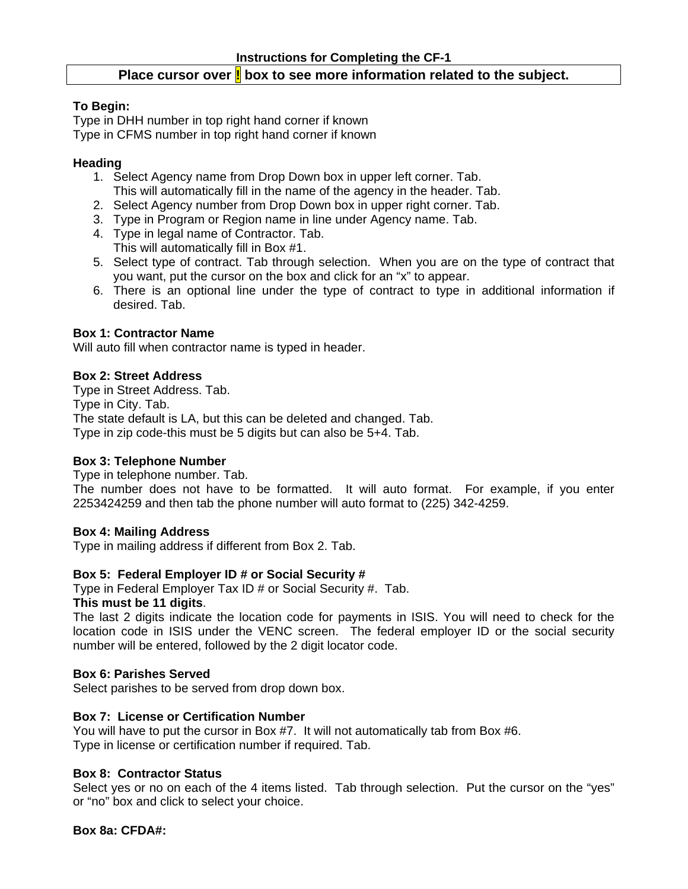# Place cursor over **!** box to see more information related to the subject.

### **To Begin:**

Type in DHH number in top right hand corner if known Type in CFMS number in top right hand corner if known

### **Heading**

- 1. Select Agency name from Drop Down box in upper left corner. Tab. This will automatically fill in the name of the agency in the header. Tab.
- 2. Select Agency number from Drop Down box in upper right corner. Tab.
- 3. Type in Program or Region name in line under Agency name. Tab.
- 4. Type in legal name of Contractor. Tab.
- This will automatically fill in Box #1.
- 5. Select type of contract. Tab through selection. When you are on the type of contract that you want, put the cursor on the box and click for an "x" to appear.
- 6. There is an optional line under the type of contract to type in additional information if desired. Tab.

# **Box 1: Contractor Name**

Will auto fill when contractor name is typed in header.

### **Box 2: Street Address**

Type in Street Address. Tab. Type in City. Tab. The state default is LA, but this can be deleted and changed. Tab. Type in zip code-this must be 5 digits but can also be 5+4. Tab.

### **Box 3: Telephone Number**

Type in telephone number. Tab.

The number does not have to be formatted. It will auto format. For example, if you enter 2253424259 and then tab the phone number will auto format to (225) 342-4259.

### **Box 4: Mailing Address**

Type in mailing address if different from Box 2. Tab.

### **Box 5: Federal Employer ID # or Social Security #**

Type in Federal Employer Tax ID # or Social Security #. Tab.

### **This must be 11 digits**.

The last 2 digits indicate the location code for payments in ISIS. You will need to check for the location code in ISIS under the VENC screen. The federal employer ID or the social security number will be entered, followed by the 2 digit locator code.

### **Box 6: Parishes Served**

Select parishes to be served from drop down box.

### **Box 7: License or Certification Number**

You will have to put the cursor in Box #7. It will not automatically tab from Box #6. Type in license or certification number if required. Tab.

### **Box 8: Contractor Status**

Select yes or no on each of the 4 items listed. Tab through selection. Put the cursor on the "yes" or "no" box and click to select your choice.

**Box 8a: CFDA#:**